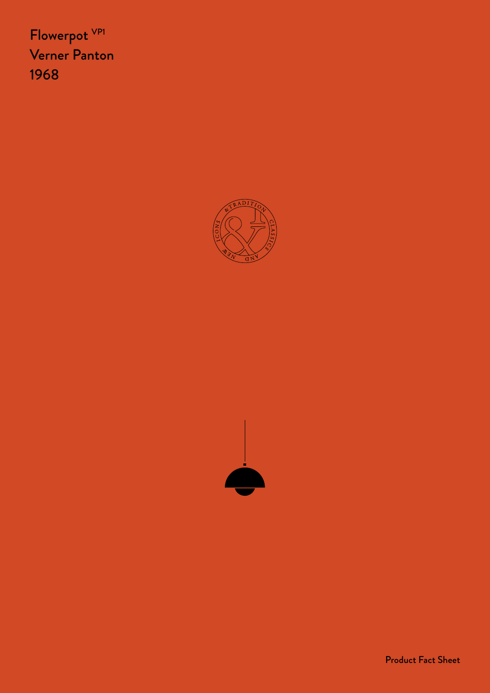Flowerpot VP1 Verner Panton 1968





Product Fact Sheet